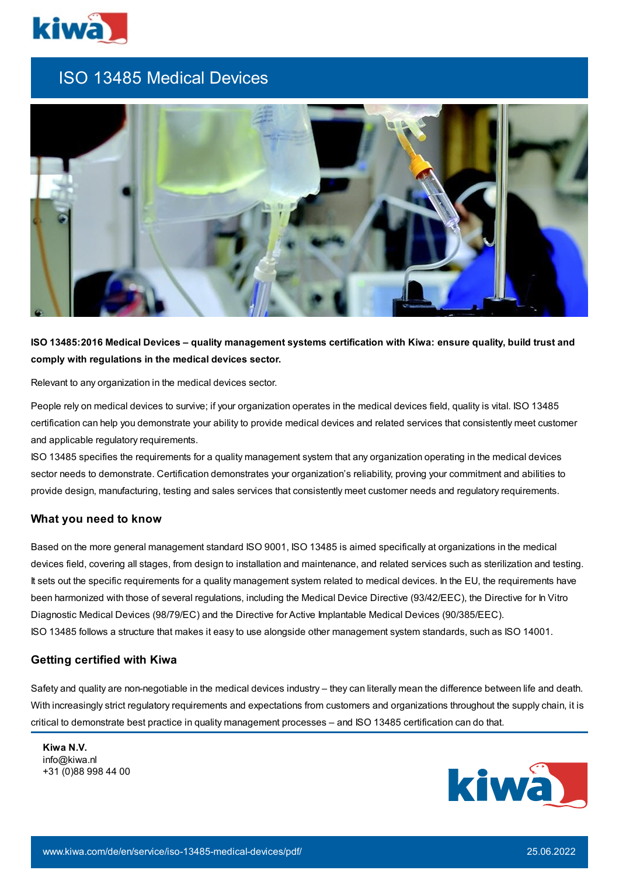

# ISO 13485 Medical Devices



ISO 13485:2016 Medical Devices - quality management systems certification with Kiwa: ensure quality, build trust and **comply with regulations in the medical devices sector.**

Relevant to any organization in the medical devices sector.

People rely on medical devices to survive; if your organization operates in the medical devices field, quality is vital. ISO 13485 certification can help you demonstrate your ability to provide medical devices and related services that consistently meet customer and applicable regulatory requirements.

ISO 13485 specifies the requirements for a quality management system that any organization operating in the medical devices sector needs to demonstrate. Certification demonstrates your organization's reliability, proving your commitment and abilities to provide design, manufacturing, testing and sales services that consistently meet customer needs and regulatory requirements.

#### **What you need to know**

Based on the more general management standard ISO 9001, ISO 13485 is aimed specifically at organizations in the medical devices field, covering all stages, from design to installation and maintenance, and related services such as sterilization and testing. It sets out the specific requirements for a quality management system related to medical devices. In the EU, the requirements have been harmonized with those of several regulations, including the Medical Device Directive (93/42/EEC), the Directive for In Vitro Diagnostic Medical Devices (98/79/EC) and the Directive for Active Implantable Medical Devices (90/385/EEC). ISO 13485 follows a structure that makes it easy to use alongside other management system standards, such as ISO 14001.

#### **Getting certified with Kiwa**

Safety and quality are non-negotiable in the medical devices industry – they can literally mean the difference between life and death. With increasingly strict regulatory requirements and expectations from customers and organizations throughout the supply chain, it is critical to demonstrate best practice in quality management processes – and ISO 13485 certification can do that.

**Kiwa N.V.** info@kiwa.nl +31 (0)88 998 44 00